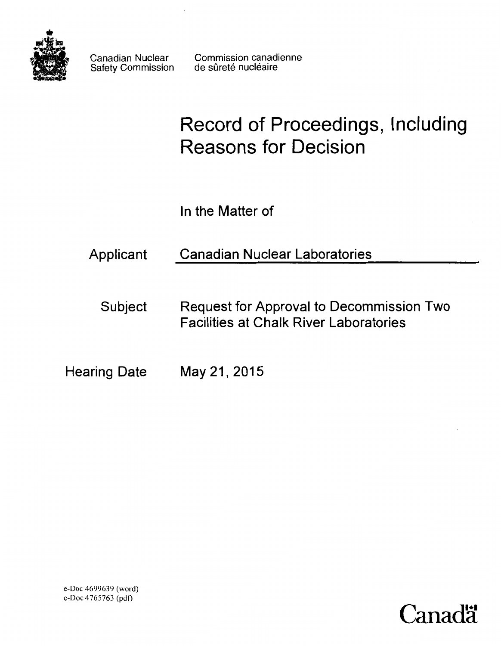

Safety Commission

Canadian Nuclear Commission canadienne<br>Safety Commission de sûreté nucléaire

# Record of Proceedings, Including Reasons for Decision

In the Matter of

Applicant Canadian Nuclear Laboratories

Subject Request for Approval to Decommission Two Facilities at Chalk River Laboratories

Hearing Date May 21, 2015



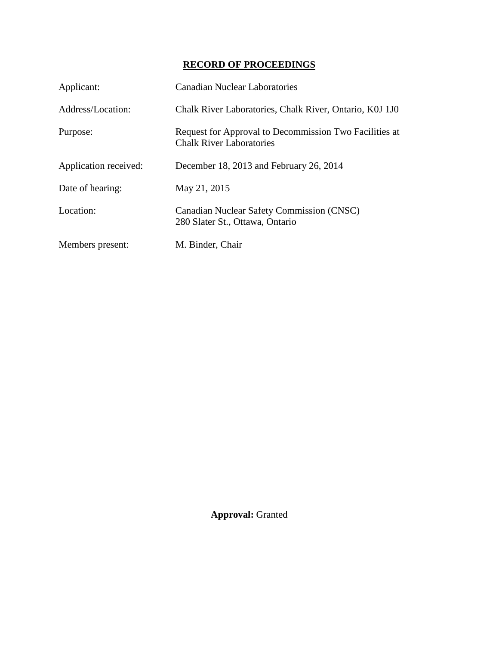# **RECORD OF PROCEEDINGS**

| Applicant:            | <b>Canadian Nuclear Laboratories</b>                                                      |
|-----------------------|-------------------------------------------------------------------------------------------|
| Address/Location:     | Chalk River Laboratories, Chalk River, Ontario, K0J 1J0                                   |
| Purpose:              | Request for Approval to Decommission Two Facilities at<br><b>Chalk River Laboratories</b> |
| Application received: | December 18, 2013 and February 26, 2014                                                   |
| Date of hearing:      | May 21, 2015                                                                              |
| Location:             | Canadian Nuclear Safety Commission (CNSC)<br>280 Slater St., Ottawa, Ontario              |
| Members present:      | M. Binder, Chair                                                                          |

**Approval:** Granted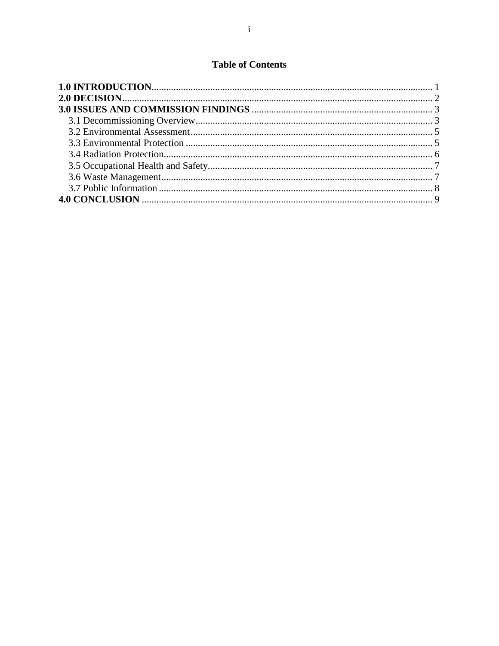# **Table of Contents**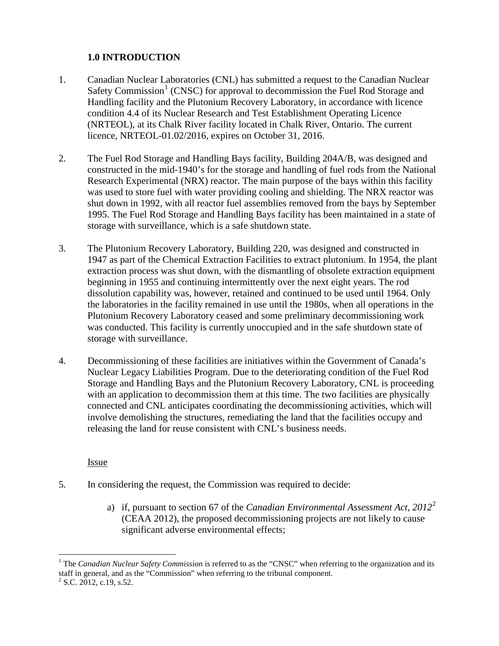## <span id="page-3-0"></span>**1.0 INTRODUCTION**

- 1. Canadian Nuclear Laboratories (CNL) has submitted a request to the Canadian Nuclear Safety Commission<sup>[1](#page-3-1)</sup> (CNSC) for approval to decommission the Fuel Rod Storage and Handling facility and the Plutonium Recovery Laboratory, in accordance with licence condition 4.4 of its Nuclear Research and Test Establishment Operating Licence (NRTEOL), at its Chalk River facility located in Chalk River, Ontario. The current licence, NRTEOL-01.02/2016, expires on October 31, 2016.
- 2. The Fuel Rod Storage and Handling Bays facility, Building 204A/B, was designed and constructed in the mid-1940's for the storage and handling of fuel rods from the National Research Experimental (NRX) reactor. The main purpose of the bays within this facility was used to store fuel with water providing cooling and shielding. The NRX reactor was shut down in 1992, with all reactor fuel assemblies removed from the bays by September 1995. The Fuel Rod Storage and Handling Bays facility has been maintained in a state of storage with surveillance, which is a safe shutdown state.
- 3. The Plutonium Recovery Laboratory, Building 220, was designed and constructed in 1947 as part of the Chemical Extraction Facilities to extract plutonium. In 1954, the plant extraction process was shut down, with the dismantling of obsolete extraction equipment beginning in 1955 and continuing intermittently over the next eight years. The rod dissolution capability was, however, retained and continued to be used until 1964. Only the laboratories in the facility remained in use until the 1980s, when all operations in the Plutonium Recovery Laboratory ceased and some preliminary decommissioning work was conducted. This facility is currently unoccupied and in the safe shutdown state of storage with surveillance.
- 4. Decommissioning of these facilities are initiatives within the Government of Canada's Nuclear Legacy Liabilities Program. Due to the deteriorating condition of the Fuel Rod Storage and Handling Bays and the Plutonium Recovery Laboratory, CNL is proceeding with an application to decommission them at this time. The two facilities are physically connected and CNL anticipates coordinating the decommissioning activities, which will involve demolishing the structures, remediating the land that the facilities occupy and releasing the land for reuse consistent with CNL's business needs.

Issue

- 5. In considering the request, the Commission was required to decide:
	- a) if, pursuant to section 67 of the *Canadian Environmental Assessment Act, 2012*[2](#page-3-2) (CEAA 2012), the proposed decommissioning projects are not likely to cause significant adverse environmental effects;

<span id="page-3-1"></span> $\overline{a}$ <sup>1</sup> The *Canadian Nuclear Safety Commission* is referred to as the "CNSC" when referring to the organization and its staff in general, and as the "Commission" when referring to the tribunal component.<br><sup>2</sup> S.C. 2012, c.19, s.52.

<span id="page-3-2"></span>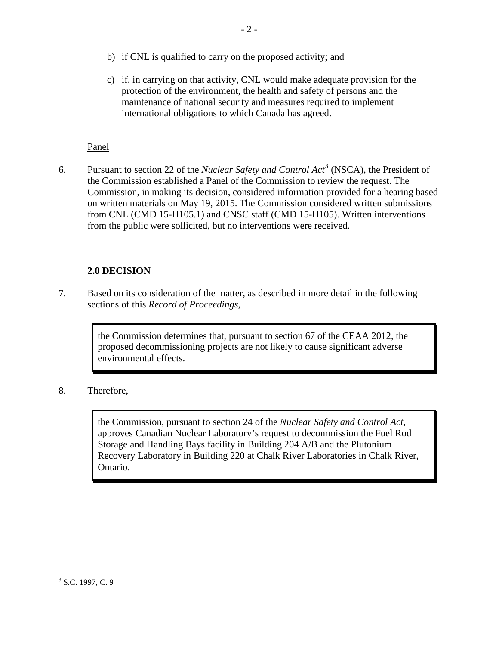- b) if CNL is qualified to carry on the proposed activity; and
- c) if, in carrying on that activity, CNL would make adequate provision for the protection of the environment, the health and safety of persons and the maintenance of national security and measures required to implement international obligations to which Canada has agreed.

## Panel

6. Pursuant to section 22 of the *Nuclear Safety and Control Act[3](#page-4-1)* (NSCA), the President of the Commission established a Panel of the Commission to review the request. The Commission, in making its decision, considered information provided for a hearing based on written materials on May 19, 2015. The Commission considered written submissions from CNL (CMD 15-H105.1) and CNSC staff (CMD 15-H105). Written interventions from the public were sollicited, but no interventions were received.

## <span id="page-4-0"></span>**2.0 DECISION**

7. Based on its consideration of the matter, as described in more detail in the following sections of this *Record of Proceedings*,

> the Commission determines that, pursuant to section 67 of the CEAA 2012, the proposed decommissioning projects are not likely to cause significant adverse environmental effects.

8. Therefore,

the Commission, pursuant to section 24 of the *Nuclear Safety and Control Act*, approves Canadian Nuclear Laboratory's request to decommission the Fuel Rod Storage and Handling Bays facility in Building 204 A/B and the Plutonium Recovery Laboratory in Building 220 at Chalk River Laboratories in Chalk River, Ontario.

<span id="page-4-1"></span> $\overline{a}$  $3$  S.C. 1997, C. 9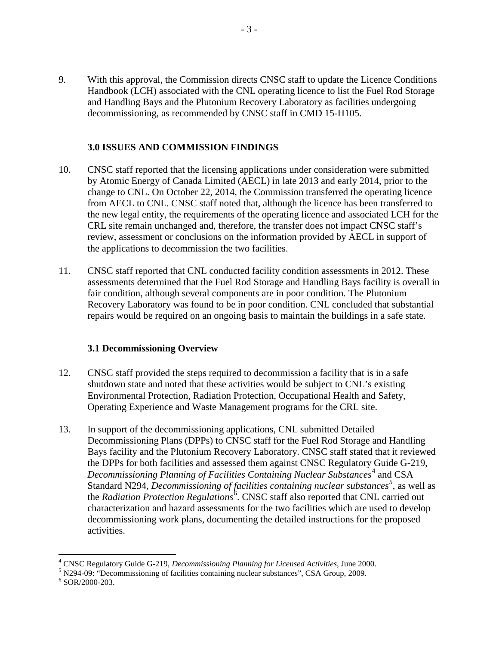9. With this approval, the Commission directs CNSC staff to update the Licence Conditions Handbook (LCH) associated with the CNL operating licence to list the Fuel Rod Storage and Handling Bays and the Plutonium Recovery Laboratory as facilities undergoing decommissioning, as recommended by CNSC staff in CMD 15-H105.

#### <span id="page-5-0"></span>**3.0 ISSUES AND COMMISSION FINDINGS**

- 10. CNSC staff reported that the licensing applications under consideration were submitted by Atomic Energy of Canada Limited (AECL) in late 2013 and early 2014, prior to the change to CNL. On October 22, 2014, the Commission transferred the operating licence from AECL to CNL. CNSC staff noted that, although the licence has been transferred to the new legal entity, the requirements of the operating licence and associated LCH for the CRL site remain unchanged and, therefore, the transfer does not impact CNSC staff's review, assessment or conclusions on the information provided by AECL in support of the applications to decommission the two facilities.
- 11. CNSC staff reported that CNL conducted facility condition assessments in 2012. These assessments determined that the Fuel Rod Storage and Handling Bays facility is overall in fair condition, although several components are in poor condition. The Plutonium Recovery Laboratory was found to be in poor condition. CNL concluded that substantial repairs would be required on an ongoing basis to maintain the buildings in a safe state.

#### <span id="page-5-1"></span> **3.1 Decommissioning Overview**

- 12. CNSC staff provided the steps required to decommission a facility that is in a safe shutdown state and noted that these activities would be subject to CNL's existing Environmental Protection, Radiation Protection, Occupational Health and Safety, Operating Experience and Waste Management programs for the CRL site.
- 13. In support of the decommissioning applications, CNL submitted Detailed Decommissioning Plans (DPPs) to CNSC staff for the Fuel Rod Storage and Handling Bays facility and the Plutonium Recovery Laboratory. CNSC staff stated that it reviewed the DPPs for both facilities and assessed them against CNSC Regulatory Guide G-219, Decommissioning Planning of Facilities Containing Nuclear Substances<sup>[4](#page-5-2)</sup> and CSA Standard N294, *Decommissioning of facilities containing nuclear substances[5](#page-5-3)* , as well as the *Radiation Protection Regulations*<sup>[6](#page-5-4)</sup>. CNSC staff also reported that CNL carried out characterization and hazard assessments for the two facilities which are used to develop decommissioning work plans, documenting the detailed instructions for the proposed activities.

<sup>&</sup>lt;sup>4</sup> CNSC Regulatory Guide G-219, Decommissioning Planning for Licensed Activities, June 2000.

<span id="page-5-3"></span><span id="page-5-2"></span><sup>&</sup>lt;sup>5</sup> N294-09: "Decommissioning of facilities containing nuclear substances", CSA Group, 2009. <sup>6</sup> SOR/2000-203.

<span id="page-5-4"></span>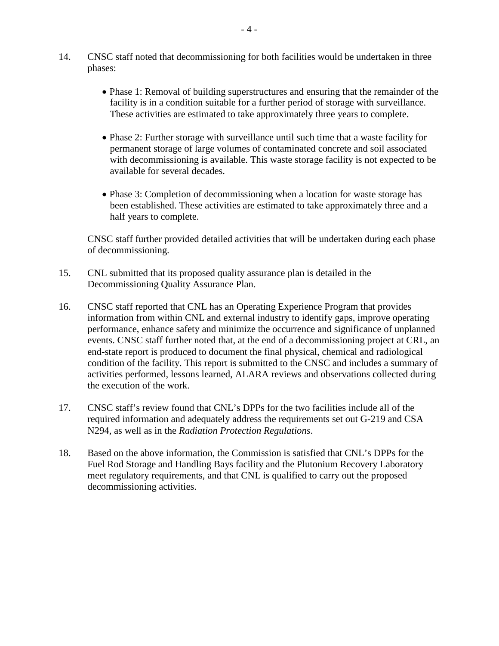- 14. CNSC staff noted that decommissioning for both facilities would be undertaken in three phases:
	- Phase 1: Removal of building superstructures and ensuring that the remainder of the facility is in a condition suitable for a further period of storage with surveillance. These activities are estimated to take approximately three years to complete.
	- Phase 2: Further storage with surveillance until such time that a waste facility for permanent storage of large volumes of contaminated concrete and soil associated with decommissioning is available. This waste storage facility is not expected to be available for several decades.
	- Phase 3: Completion of decommissioning when a location for waste storage has been established. These activities are estimated to take approximately three and a half years to complete.

CNSC staff further provided detailed activities that will be undertaken during each phase of decommissioning.

- 15. CNL submitted that its proposed quality assurance plan is detailed in the Decommissioning Quality Assurance Plan.
- 16. CNSC staff reported that CNL has an Operating Experience Program that provides information from within CNL and external industry to identify gaps, improve operating performance, enhance safety and minimize the occurrence and significance of unplanned events. CNSC staff further noted that, at the end of a decommissioning project at CRL, an end-state report is produced to document the final physical, chemical and radiological condition of the facility. This report is submitted to the CNSC and includes a summary of activities performed, lessons learned, ALARA reviews and observations collected during the execution of the work.
- 17. CNSC staff's review found that CNL's DPPs for the two facilities include all of the required information and adequately address the requirements set out G-219 and CSA N294, as well as in the *Radiation Protection Regulations*.
- 18. Based on the above information, the Commission is satisfied that CNL's DPPs for the Fuel Rod Storage and Handling Bays facility and the Plutonium Recovery Laboratory meet regulatory requirements, and that CNL is qualified to carry out the proposed decommissioning activities.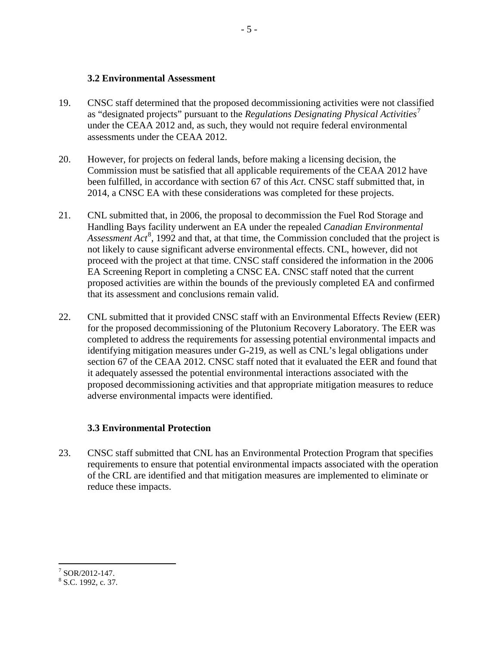#### <span id="page-7-0"></span> **3.2 Environmental Assessment**

- 19. CNSC staff determined that the proposed decommissioning activities were not classified as "designated projects" pursuant to the *Regulations Designating Physical Activities*[7](#page-7-2) under the CEAA 2012 and, as such, they would not require federal environmental assessments under the CEAA 2012.
- 20. However, for projects on federal lands, before making a licensing decision, the Commission must be satisfied that all applicable requirements of the CEAA 2012 have been fulfilled, in accordance with section 67 of this *Act*. CNSC staff submitted that, in 2014, a CNSC EA with these considerations was completed for these projects.
- 21. CNL submitted that, in 2006, the proposal to decommission the Fuel Rod Storage and Handling Bays facility underwent an EA under the repealed *Canadian Environmental*  Assessment Act<sup>[8](#page-7-3)</sup>, 1992 and that, at that time, the Commission concluded that the project is not likely to cause significant adverse environmental effects. CNL, however, did not proceed with the project at that time. CNSC staff considered the information in the 2006 EA Screening Report in completing a CNSC EA. CNSC staff noted that the current proposed activities are within the bounds of the previously completed EA and confirmed that its assessment and conclusions remain valid.
- 22. CNL submitted that it provided CNSC staff with an Environmental Effects Review (EER) for the proposed decommissioning of the Plutonium Recovery Laboratory. The EER was completed to address the requirements for assessing potential environmental impacts and identifying mitigation measures under G-219, as well as CNL's legal obligations under section 67 of the CEAA 2012. CNSC staff noted that it evaluated the EER and found that it adequately assessed the potential environmental interactions associated with the proposed decommissioning activities and that appropriate mitigation measures to reduce adverse environmental impacts were identified.

# <span id="page-7-1"></span> **3.3 Environmental Protection**

23. CNSC staff submitted that CNL has an Environmental Protection Program that specifies requirements to ensure that potential environmental impacts associated with the operation of the CRL are identified and that mitigation measures are implemented to eliminate or reduce these impacts.

<span id="page-7-2"></span> $7$  SOR/2012-147.

<span id="page-7-3"></span> $8$  S.C. 1992, c. 37.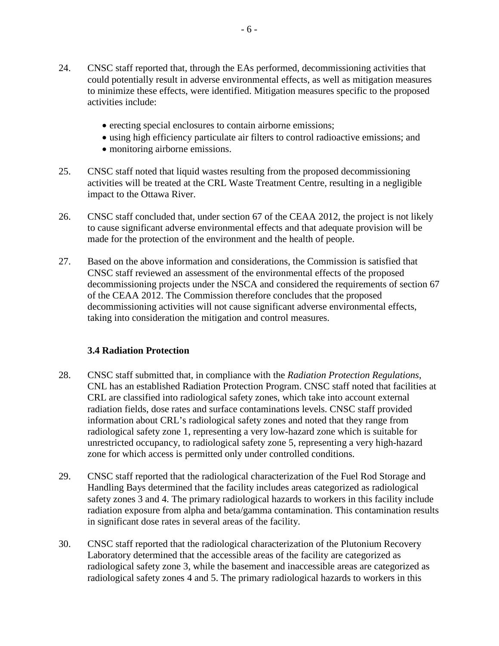- 24. CNSC staff reported that, through the EAs performed, decommissioning activities that could potentially result in adverse environmental effects, as well as mitigation measures to minimize these effects, were identified. Mitigation measures specific to the proposed activities include:
	- erecting special enclosures to contain airborne emissions;
	- using high efficiency particulate air filters to control radioactive emissions; and
	- monitoring airborne emissions.
- 25. CNSC staff noted that liquid wastes resulting from the proposed decommissioning activities will be treated at the CRL Waste Treatment Centre, resulting in a negligible impact to the Ottawa River.
- 26. CNSC staff concluded that, under section 67 of the CEAA 2012, the project is not likely to cause significant adverse environmental effects and that adequate provision will be made for the protection of the environment and the health of people.
- 27. Based on the above information and considerations, the Commission is satisfied that CNSC staff reviewed an assessment of the environmental effects of the proposed decommissioning projects under the NSCA and considered the requirements of section 67 of the CEAA 2012. The Commission therefore concludes that the proposed decommissioning activities will not cause significant adverse environmental effects, taking into consideration the mitigation and control measures.

## <span id="page-8-0"></span> **3.4 Radiation Protection**

- 28. CNSC staff submitted that, in compliance with the *Radiation Protection Regulations*, CNL has an established Radiation Protection Program. CNSC staff noted that facilities at CRL are classified into radiological safety zones, which take into account external radiation fields, dose rates and surface contaminations levels. CNSC staff provided information about CRL's radiological safety zones and noted that they range from radiological safety zone 1, representing a very low-hazard zone which is suitable for unrestricted occupancy, to radiological safety zone 5, representing a very high-hazard zone for which access is permitted only under controlled conditions.
- 29. CNSC staff reported that the radiological characterization of the Fuel Rod Storage and Handling Bays determined that the facility includes areas categorized as radiological safety zones 3 and 4. The primary radiological hazards to workers in this facility include radiation exposure from alpha and beta/gamma contamination. This contamination results in significant dose rates in several areas of the facility.
- 30. CNSC staff reported that the radiological characterization of the Plutonium Recovery Laboratory determined that the accessible areas of the facility are categorized as radiological safety zone 3, while the basement and inaccessible areas are categorized as radiological safety zones 4 and 5. The primary radiological hazards to workers in this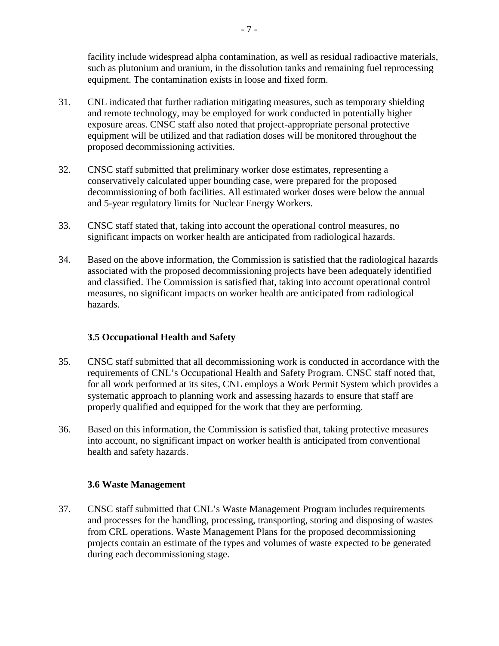facility include widespread alpha contamination, as well as residual radioactive materials, such as plutonium and uranium, in the dissolution tanks and remaining fuel reprocessing equipment. The contamination exists in loose and fixed form.

- 31. CNL indicated that further radiation mitigating measures, such as temporary shielding and remote technology, may be employed for work conducted in potentially higher exposure areas. CNSC staff also noted that project-appropriate personal protective equipment will be utilized and that radiation doses will be monitored throughout the proposed decommissioning activities.
- 32. CNSC staff submitted that preliminary worker dose estimates, representing a conservatively calculated upper bounding case, were prepared for the proposed decommissioning of both facilities. All estimated worker doses were below the annual and 5-year regulatory limits for Nuclear Energy Workers.
- 33. CNSC staff stated that, taking into account the operational control measures, no significant impacts on worker health are anticipated from radiological hazards.
- 34. Based on the above information, the Commission is satisfied that the radiological hazards associated with the proposed decommissioning projects have been adequately identified and classified. The Commission is satisfied that, taking into account operational control measures, no significant impacts on worker health are anticipated from radiological hazards.

## <span id="page-9-0"></span>**3.5 Occupational Health and Safety**

- 35. CNSC staff submitted that all decommissioning work is conducted in accordance with the requirements of CNL's Occupational Health and Safety Program. CNSC staff noted that, for all work performed at its sites, CNL employs a Work Permit System which provides a systematic approach to planning work and assessing hazards to ensure that staff are properly qualified and equipped for the work that they are performing.
- 36. Based on this information, the Commission is satisfied that, taking protective measures into account, no significant impact on worker health is anticipated from conventional health and safety hazards.

#### <span id="page-9-1"></span>**3.6 Waste Management**

37. CNSC staff submitted that CNL's Waste Management Program includes requirements and processes for the handling, processing, transporting, storing and disposing of wastes from CRL operations. Waste Management Plans for the proposed decommissioning projects contain an estimate of the types and volumes of waste expected to be generated during each decommissioning stage.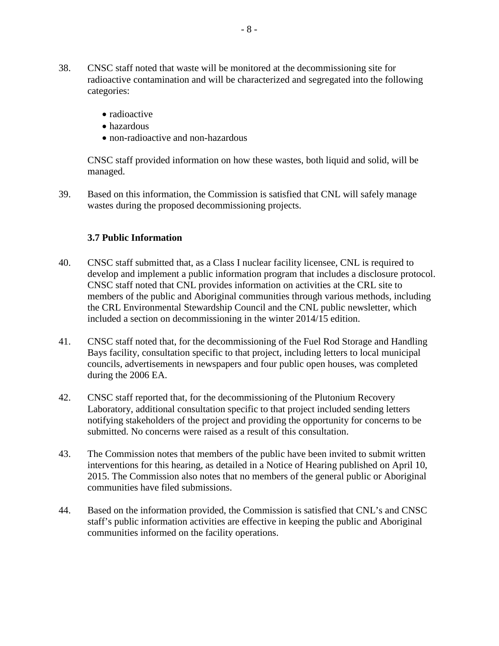- 38. CNSC staff noted that waste will be monitored at the decommissioning site for radioactive contamination and will be characterized and segregated into the following categories:
	- radioactive
	- hazardous
	- non-radioactive and non-hazardous

CNSC staff provided information on how these wastes, both liquid and solid, will be managed.

39. Based on this information, the Commission is satisfied that CNL will safely manage wastes during the proposed decommissioning projects.

#### <span id="page-10-0"></span>**3.7 Public Information**

- 40. CNSC staff submitted that, as a Class I nuclear facility licensee, CNL is required to develop and implement a public information program that includes a disclosure protocol. CNSC staff noted that CNL provides information on activities at the CRL site to members of the public and Aboriginal communities through various methods, including the CRL Environmental Stewardship Council and the CNL public newsletter, which included a section on decommissioning in the winter 2014/15 edition.
- 41. CNSC staff noted that, for the decommissioning of the Fuel Rod Storage and Handling Bays facility, consultation specific to that project, including letters to local municipal councils, advertisements in newspapers and four public open houses, was completed during the 2006 EA.
- 42. CNSC staff reported that, for the decommissioning of the Plutonium Recovery Laboratory, additional consultation specific to that project included sending letters notifying stakeholders of the project and providing the opportunity for concerns to be submitted. No concerns were raised as a result of this consultation.
- 43. The Commission notes that members of the public have been invited to submit written interventions for this hearing, as detailed in a Notice of Hearing published on April 10, 2015. The Commission also notes that no members of the general public or Aboriginal communities have filed submissions.
- 44. Based on the information provided, the Commission is satisfied that CNL's and CNSC staff's public information activities are effective in keeping the public and Aboriginal communities informed on the facility operations.